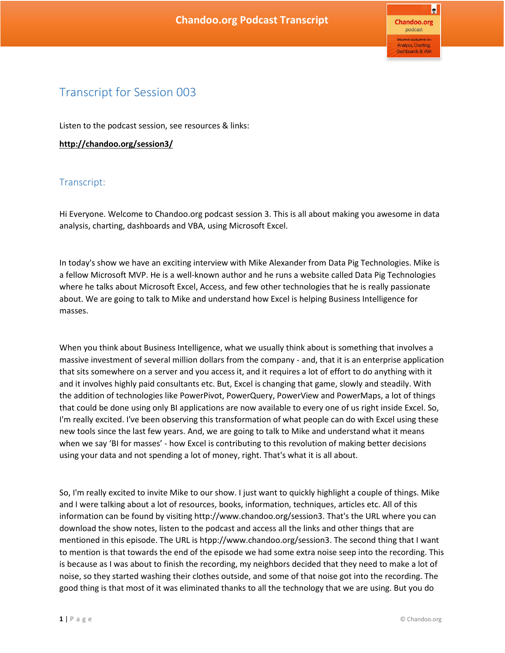## Transcript for Session 003

Listen to the podcast session, see resources & links:

**http://chandoo.org/session3/**

## Transcript:

Hi Everyone. Welcome to Chandoo.org podcast session 3. This is all about making you awesome in data analysis, charting, dashboards and VBA, using Microsoft Excel.

In today's show we have an exciting interview with Mike Alexander from Data Pig Technologies. Mike is a fellow Microsoft MVP. He is a well-known author and he runs a website called Data Pig Technologies where he talks about Microsoft Excel, Access, and few other technologies that he is really passionate about. We are going to talk to Mike and understand how Excel is helping Business Intelligence for masses.

When you think about Business Intelligence, what we usually think about is something that involves a massive investment of several million dollars from the company - and, that it is an enterprise application that sits somewhere on a server and you access it, and it requires a lot of effort to do anything with it and it involves highly paid consultants etc. But, Excel is changing that game, slowly and steadily. With the addition of technologies like PowerPivot, PowerQuery, PowerView and PowerMaps, a lot of things that could be done using only BI applications are now available to every one of us right inside Excel. So, I'm really excited. I've been observing this transformation of what people can do with Excel using these new tools since the last few years. And, we are going to talk to Mike and understand what it means when we say 'BI for masses' - how Excel is contributing to this revolution of making better decisions using your data and not spending a lot of money, right. That's what it is all about.

So, I'm really excited to invite Mike to our show. I just want to quickly highlight a couple of things. Mike and I were talking about a lot of resources, books, information, techniques, articles etc. All of this information can be found by visiting http://www.chandoo.org/session3. That's the URL where you can download the show notes, listen to the podcast and access all the links and other things that are mentioned in this episode. The URL is htpp://www.chandoo.org/session3. The second thing that I want to mention is that towards the end of the episode we had some extra noise seep into the recording. This is because as I was about to finish the recording, my neighbors decided that they need to make a lot of noise, so they started washing their clothes outside, and some of that noise got into the recording. The good thing is that most of it was eliminated thanks to all the technology that we are using. But you do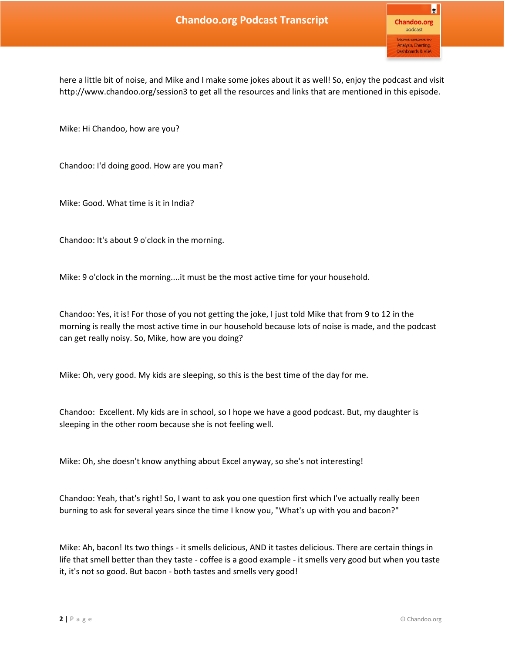here a little bit of noise, and Mike and I make some jokes about it as well! So, enjoy the podcast and visit http://www.chandoo.org/session3 to get all the resources and links that are mentioned in this episode.

Mike: Hi Chandoo, how are you?

Chandoo: I'd doing good. How are you man?

Mike: Good. What time is it in India?

Chandoo: It's about 9 o'clock in the morning.

Mike: 9 o'clock in the morning....it must be the most active time for your household.

Chandoo: Yes, it is! For those of you not getting the joke, I just told Mike that from 9 to 12 in the morning is really the most active time in our household because lots of noise is made, and the podcast can get really noisy. So, Mike, how are you doing?

Mike: Oh, very good. My kids are sleeping, so this is the best time of the day for me.

Chandoo: Excellent. My kids are in school, so I hope we have a good podcast. But, my daughter is sleeping in the other room because she is not feeling well.

Mike: Oh, she doesn't know anything about Excel anyway, so she's not interesting!

Chandoo: Yeah, that's right! So, I want to ask you one question first which I've actually really been burning to ask for several years since the time I know you, "What's up with you and bacon?"

Mike: Ah, bacon! Its two things - it smells delicious, AND it tastes delicious. There are certain things in life that smell better than they taste - coffee is a good example - it smells very good but when you taste it, it's not so good. But bacon - both tastes and smells very good!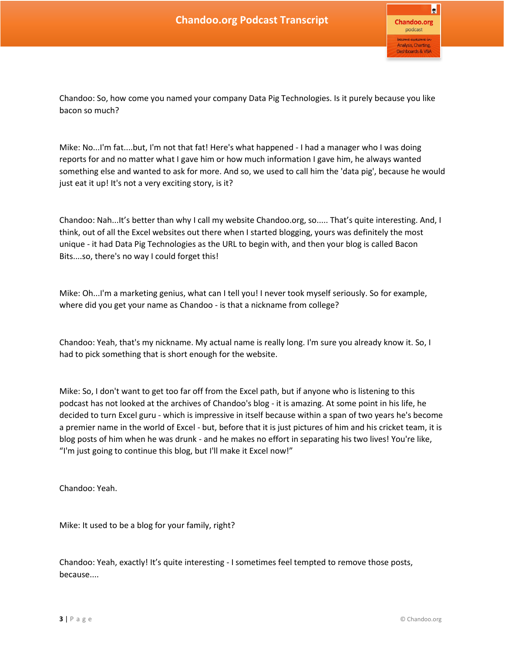Chandoo: So, how come you named your company Data Pig Technologies. Is it purely because you like bacon so much?

Mike: No...I'm fat....but, I'm not that fat! Here's what happened - I had a manager who I was doing reports for and no matter what I gave him or how much information I gave him, he always wanted something else and wanted to ask for more. And so, we used to call him the 'data pig', because he would just eat it up! It's not a very exciting story, is it?

Chandoo: Nah...It's better than why I call my website Chandoo.org, so..... That's quite interesting. And, I think, out of all the Excel websites out there when I started blogging, yours was definitely the most unique - it had Data Pig Technologies as the URL to begin with, and then your blog is called Bacon Bits....so, there's no way I could forget this!

Mike: Oh...I'm a marketing genius, what can I tell you! I never took myself seriously. So for example, where did you get your name as Chandoo - is that a nickname from college?

Chandoo: Yeah, that's my nickname. My actual name is really long. I'm sure you already know it. So, I had to pick something that is short enough for the website.

Mike: So, I don't want to get too far off from the Excel path, but if anyone who is listening to this podcast has not looked at the archives of Chandoo's blog - it is amazing. At some point in his life, he decided to turn Excel guru - which is impressive in itself because within a span of two years he's become a premier name in the world of Excel - but, before that it is just pictures of him and his cricket team, it is blog posts of him when he was drunk - and he makes no effort in separating his two lives! You're like, "I'm just going to continue this blog, but I'll make it Excel now!"

Chandoo: Yeah.

Mike: It used to be a blog for your family, right?

Chandoo: Yeah, exactly! It's quite interesting - I sometimes feel tempted to remove those posts, because....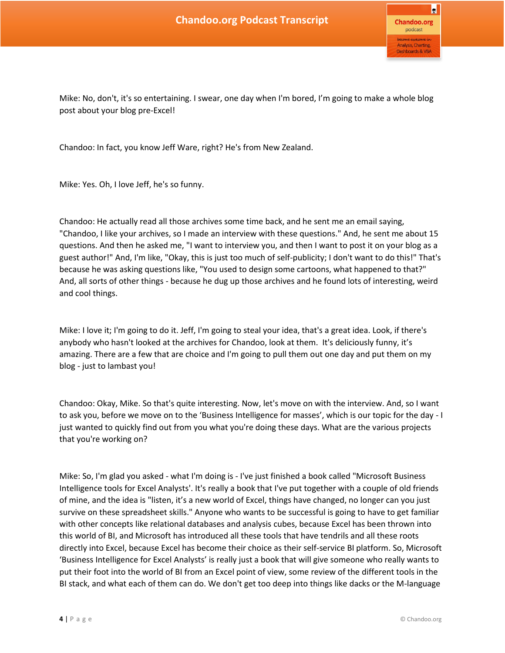Mike: No, don't, it's so entertaining. I swear, one day when I'm bored, I'm going to make a whole blog post about your blog pre-Excel!

Chandoo: In fact, you know Jeff Ware, right? He's from New Zealand.

Mike: Yes. Oh, I love Jeff, he's so funny.

Chandoo: He actually read all those archives some time back, and he sent me an email saying, "Chandoo, I like your archives, so I made an interview with these questions." And, he sent me about 15 questions. And then he asked me, "I want to interview you, and then I want to post it on your blog as a guest author!" And, I'm like, "Okay, this is just too much of self-publicity; I don't want to do this!" That's because he was asking questions like, "You used to design some cartoons, what happened to that?" And, all sorts of other things - because he dug up those archives and he found lots of interesting, weird and cool things.

Mike: I love it; I'm going to do it. Jeff, I'm going to steal your idea, that's a great idea. Look, if there's anybody who hasn't looked at the archives for Chandoo, look at them. It's deliciously funny, it's amazing. There are a few that are choice and I'm going to pull them out one day and put them on my blog - just to lambast you!

Chandoo: Okay, Mike. So that's quite interesting. Now, let's move on with the interview. And, so I want to ask you, before we move on to the 'Business Intelligence for masses', which is our topic for the day - I just wanted to quickly find out from you what you're doing these days. What are the various projects that you're working on?

Mike: So, I'm glad you asked - what I'm doing is - I've just finished a book called "Microsoft Business Intelligence tools for Excel Analysts'. It's really a book that I've put together with a couple of old friends of mine, and the idea is "listen, it's a new world of Excel, things have changed, no longer can you just survive on these spreadsheet skills." Anyone who wants to be successful is going to have to get familiar with other concepts like relational databases and analysis cubes, because Excel has been thrown into this world of BI, and Microsoft has introduced all these tools that have tendrils and all these roots directly into Excel, because Excel has become their choice as their self-service BI platform. So, Microsoft 'Business Intelligence for Excel Analysts' is really just a book that will give someone who really wants to put their foot into the world of BI from an Excel point of view, some review of the different tools in the BI stack, and what each of them can do. We don't get too deep into things like dacks or the M-language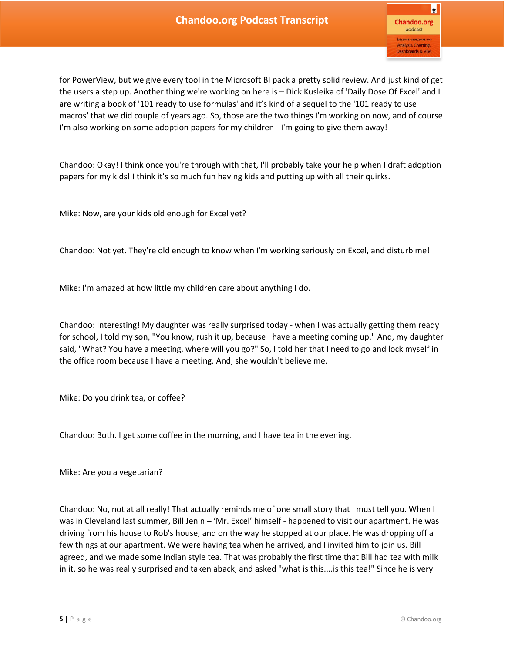for PowerView, but we give every tool in the Microsoft BI pack a pretty solid review. And just kind of get the users a step up. Another thing we're working on here is – Dick Kusleika of 'Daily Dose Of Excel' and I are writing a book of '101 ready to use formulas' and it's kind of a sequel to the '101 ready to use macros' that we did couple of years ago. So, those are the two things I'm working on now, and of course I'm also working on some adoption papers for my children - I'm going to give them away!

Chandoo: Okay! I think once you're through with that, I'll probably take your help when I draft adoption papers for my kids! I think it's so much fun having kids and putting up with all their quirks.

Mike: Now, are your kids old enough for Excel yet?

Chandoo: Not yet. They're old enough to know when I'm working seriously on Excel, and disturb me!

Mike: I'm amazed at how little my children care about anything I do.

Chandoo: Interesting! My daughter was really surprised today - when I was actually getting them ready for school, I told my son, "You know, rush it up, because I have a meeting coming up." And, my daughter said, "What? You have a meeting, where will you go?" So, I told her that I need to go and lock myself in the office room because I have a meeting. And, she wouldn't believe me.

Mike: Do you drink tea, or coffee?

Chandoo: Both. I get some coffee in the morning, and I have tea in the evening.

Mike: Are you a vegetarian?

Chandoo: No, not at all really! That actually reminds me of one small story that I must tell you. When I was in Cleveland last summer, Bill Jenin – 'Mr. Excel' himself - happened to visit our apartment. He was driving from his house to Rob's house, and on the way he stopped at our place. He was dropping off a few things at our apartment. We were having tea when he arrived, and I invited him to join us. Bill agreed, and we made some Indian style tea. That was probably the first time that Bill had tea with milk in it, so he was really surprised and taken aback, and asked "what is this....is this tea!" Since he is very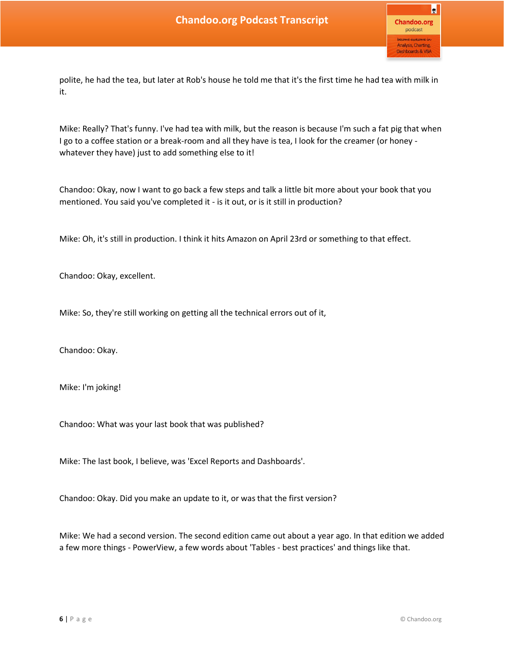polite, he had the tea, but later at Rob's house he told me that it's the first time he had tea with milk in it.

Mike: Really? That's funny. I've had tea with milk, but the reason is because I'm such a fat pig that when I go to a coffee station or a break-room and all they have is tea, I look for the creamer (or honey whatever they have) just to add something else to it!

Chandoo: Okay, now I want to go back a few steps and talk a little bit more about your book that you mentioned. You said you've completed it - is it out, or is it still in production?

Mike: Oh, it's still in production. I think it hits Amazon on April 23rd or something to that effect.

Chandoo: Okay, excellent.

Mike: So, they're still working on getting all the technical errors out of it,

Chandoo: Okay.

Mike: I'm joking!

Chandoo: What was your last book that was published?

Mike: The last book, I believe, was 'Excel Reports and Dashboards'.

Chandoo: Okay. Did you make an update to it, or was that the first version?

Mike: We had a second version. The second edition came out about a year ago. In that edition we added a few more things - PowerView, a few words about 'Tables - best practices' and things like that.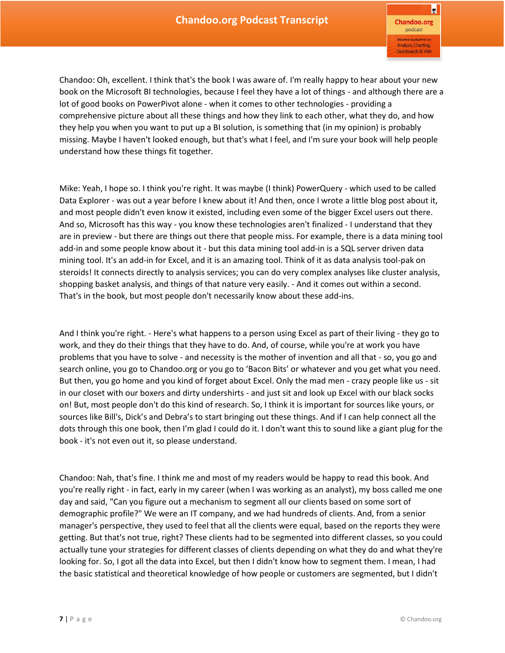R **Chandoo.org** podcast Analysis, Charting, **Dashboards & VBA** 

Chandoo: Oh, excellent. I think that's the book I was aware of. I'm really happy to hear about your new book on the Microsoft BI technologies, because I feel they have a lot of things - and although there are a lot of good books on PowerPivot alone - when it comes to other technologies - providing a comprehensive picture about all these things and how they link to each other, what they do, and how they help you when you want to put up a BI solution, is something that (in my opinion) is probably missing. Maybe I haven't looked enough, but that's what I feel, and I'm sure your book will help people understand how these things fit together.

Mike: Yeah, I hope so. I think you're right. It was maybe (I think) PowerQuery - which used to be called Data Explorer - was out a year before I knew about it! And then, once I wrote a little blog post about it, and most people didn't even know it existed, including even some of the bigger Excel users out there. And so, Microsoft has this way - you know these technologies aren't finalized - I understand that they are in preview - but there are things out there that people miss. For example, there is a data mining tool add-in and some people know about it - but this data mining tool add-in is a SQL server driven data mining tool. It's an add-in for Excel, and it is an amazing tool. Think of it as data analysis tool-pak on steroids! It connects directly to analysis services; you can do very complex analyses like cluster analysis, shopping basket analysis, and things of that nature very easily. - And it comes out within a second. That's in the book, but most people don't necessarily know about these add-ins.

And I think you're right. - Here's what happens to a person using Excel as part of their living - they go to work, and they do their things that they have to do. And, of course, while you're at work you have problems that you have to solve - and necessity is the mother of invention and all that - so, you go and search online, you go to Chandoo.org or you go to 'Bacon Bits' or whatever and you get what you need. But then, you go home and you kind of forget about Excel. Only the mad men - crazy people like us - sit in our closet with our boxers and dirty undershirts - and just sit and look up Excel with our black socks on! But, most people don't do this kind of research. So, I think it is important for sources like yours, or sources like Bill's, Dick's and Debra's to start bringing out these things. And if I can help connect all the dots through this one book, then I'm glad I could do it. I don't want this to sound like a giant plug for the book - it's not even out it, so please understand.

Chandoo: Nah, that's fine. I think me and most of my readers would be happy to read this book. And you're really right - in fact, early in my career (when I was working as an analyst), my boss called me one day and said, "Can you figure out a mechanism to segment all our clients based on some sort of demographic profile?" We were an IT company, and we had hundreds of clients. And, from a senior manager's perspective, they used to feel that all the clients were equal, based on the reports they were getting. But that's not true, right? These clients had to be segmented into different classes, so you could actually tune your strategies for different classes of clients depending on what they do and what they're looking for. So, I got all the data into Excel, but then I didn't know how to segment them. I mean, I had the basic statistical and theoretical knowledge of how people or customers are segmented, but I didn't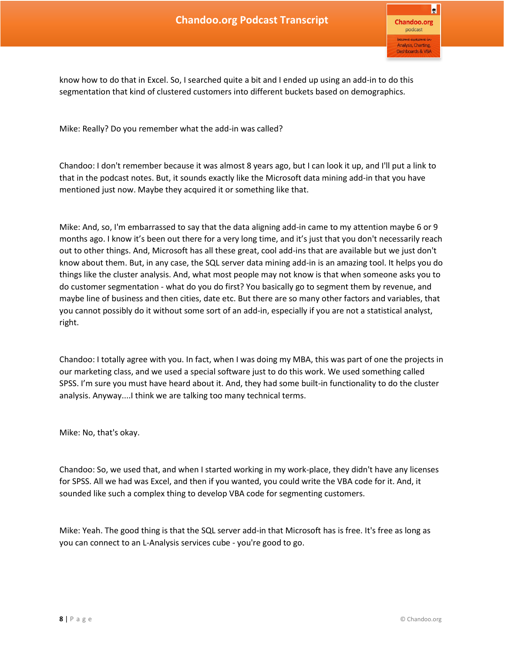know how to do that in Excel. So, I searched quite a bit and I ended up using an add-in to do this segmentation that kind of clustered customers into different buckets based on demographics.

Mike: Really? Do you remember what the add-in was called?

Chandoo: I don't remember because it was almost 8 years ago, but I can look it up, and I'll put a link to that in the podcast notes. But, it sounds exactly like the Microsoft data mining add-in that you have mentioned just now. Maybe they acquired it or something like that.

Mike: And, so, I'm embarrassed to say that the data aligning add-in came to my attention maybe 6 or 9 months ago. I know it's been out there for a very long time, and it's just that you don't necessarily reach out to other things. And, Microsoft has all these great, cool add-ins that are available but we just don't know about them. But, in any case, the SQL server data mining add-in is an amazing tool. It helps you do things like the cluster analysis. And, what most people may not know is that when someone asks you to do customer segmentation - what do you do first? You basically go to segment them by revenue, and maybe line of business and then cities, date etc. But there are so many other factors and variables, that you cannot possibly do it without some sort of an add-in, especially if you are not a statistical analyst, right.

Chandoo: I totally agree with you. In fact, when I was doing my MBA, this was part of one the projects in our marketing class, and we used a special software just to do this work. We used something called SPSS. I'm sure you must have heard about it. And, they had some built-in functionality to do the cluster analysis. Anyway....I think we are talking too many technical terms.

Mike: No, that's okay.

Chandoo: So, we used that, and when I started working in my work-place, they didn't have any licenses for SPSS. All we had was Excel, and then if you wanted, you could write the VBA code for it. And, it sounded like such a complex thing to develop VBA code for segmenting customers.

Mike: Yeah. The good thing is that the SQL server add-in that Microsoft has is free. It's free as long as you can connect to an L-Analysis services cube - you're good to go.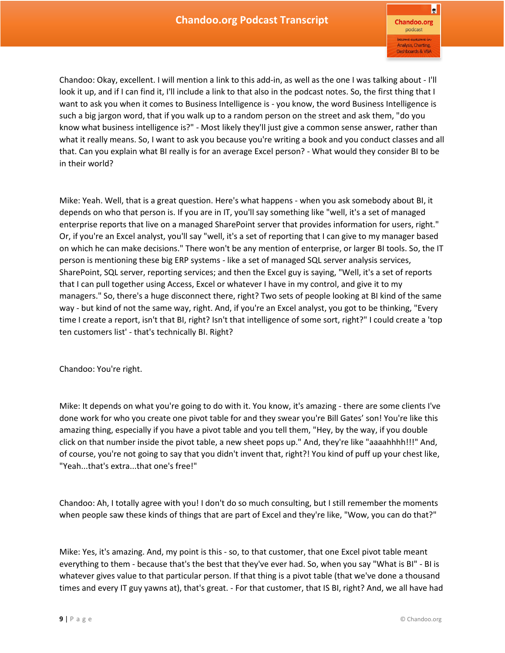Chandoo: Okay, excellent. I will mention a link to this add-in, as well as the one I was talking about - I'll look it up, and if I can find it, I'll include a link to that also in the podcast notes. So, the first thing that I want to ask you when it comes to Business Intelligence is - you know, the word Business Intelligence is such a big jargon word, that if you walk up to a random person on the street and ask them, "do you know what business intelligence is?" - Most likely they'll just give a common sense answer, rather than what it really means. So, I want to ask you because you're writing a book and you conduct classes and all that. Can you explain what BI really is for an average Excel person? - What would they consider BI to be in their world?

Mike: Yeah. Well, that is a great question. Here's what happens - when you ask somebody about BI, it depends on who that person is. If you are in IT, you'll say something like "well, it's a set of managed enterprise reports that live on a managed SharePoint server that provides information for users, right." Or, if you're an Excel analyst, you'll say "well, it's a set of reporting that I can give to my manager based on which he can make decisions." There won't be any mention of enterprise, or larger BI tools. So, the IT person is mentioning these big ERP systems - like a set of managed SQL server analysis services, SharePoint, SQL server, reporting services; and then the Excel guy is saying, "Well, it's a set of reports that I can pull together using Access, Excel or whatever I have in my control, and give it to my managers." So, there's a huge disconnect there, right? Two sets of people looking at BI kind of the same way - but kind of not the same way, right. And, if you're an Excel analyst, you got to be thinking, "Every time I create a report, isn't that BI, right? Isn't that intelligence of some sort, right?" I could create a 'top ten customers list' - that's technically BI. Right?

Chandoo: You're right.

Mike: It depends on what you're going to do with it. You know, it's amazing - there are some clients I've done work for who you create one pivot table for and they swear you're Bill Gates' son! You're like this amazing thing, especially if you have a pivot table and you tell them, "Hey, by the way, if you double click on that number inside the pivot table, a new sheet pops up." And, they're like "aaaahhhh!!!" And, of course, you're not going to say that you didn't invent that, right?! You kind of puff up your chest like, "Yeah...that's extra...that one's free!"

Chandoo: Ah, I totally agree with you! I don't do so much consulting, but I still remember the moments when people saw these kinds of things that are part of Excel and they're like, "Wow, you can do that?"

Mike: Yes, it's amazing. And, my point is this - so, to that customer, that one Excel pivot table meant everything to them - because that's the best that they've ever had. So, when you say "What is BI" - BI is whatever gives value to that particular person. If that thing is a pivot table (that we've done a thousand times and every IT guy yawns at), that's great. - For that customer, that IS BI, right? And, we all have had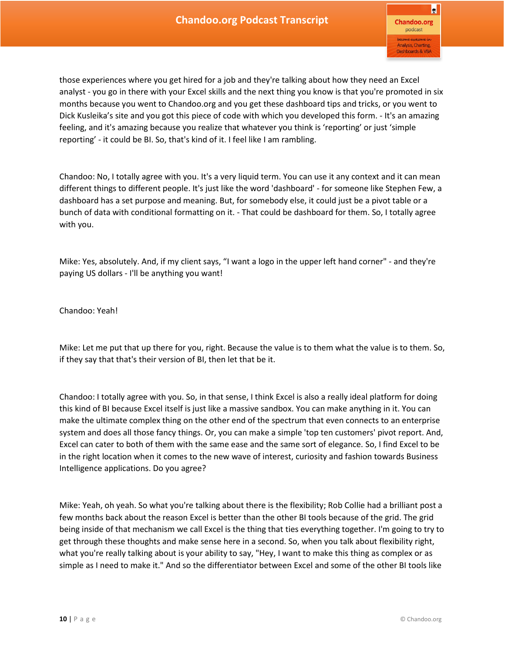those experiences where you get hired for a job and they're talking about how they need an Excel analyst - you go in there with your Excel skills and the next thing you know is that you're promoted in six months because you went to Chandoo.org and you get these dashboard tips and tricks, or you went to Dick Kusleika's site and you got this piece of code with which you developed this form. - It's an amazing feeling, and it's amazing because you realize that whatever you think is 'reporting' or just 'simple reporting' - it could be BI. So, that's kind of it. I feel like I am rambling.

Chandoo: No, I totally agree with you. It's a very liquid term. You can use it any context and it can mean different things to different people. It's just like the word 'dashboard' - for someone like Stephen Few, a dashboard has a set purpose and meaning. But, for somebody else, it could just be a pivot table or a bunch of data with conditional formatting on it. - That could be dashboard for them. So, I totally agree with you.

Mike: Yes, absolutely. And, if my client says, "I want a logo in the upper left hand corner" - and they're paying US dollars - I'll be anything you want!

Chandoo: Yeah!

Mike: Let me put that up there for you, right. Because the value is to them what the value is to them. So, if they say that that's their version of BI, then let that be it.

Chandoo: I totally agree with you. So, in that sense, I think Excel is also a really ideal platform for doing this kind of BI because Excel itself is just like a massive sandbox. You can make anything in it. You can make the ultimate complex thing on the other end of the spectrum that even connects to an enterprise system and does all those fancy things. Or, you can make a simple 'top ten customers' pivot report. And, Excel can cater to both of them with the same ease and the same sort of elegance. So, I find Excel to be in the right location when it comes to the new wave of interest, curiosity and fashion towards Business Intelligence applications. Do you agree?

Mike: Yeah, oh yeah. So what you're talking about there is the flexibility; Rob Collie had a brilliant post a few months back about the reason Excel is better than the other BI tools because of the grid. The grid being inside of that mechanism we call Excel is the thing that ties everything together. I'm going to try to get through these thoughts and make sense here in a second. So, when you talk about flexibility right, what you're really talking about is your ability to say, "Hey, I want to make this thing as complex or as simple as I need to make it." And so the differentiator between Excel and some of the other BI tools like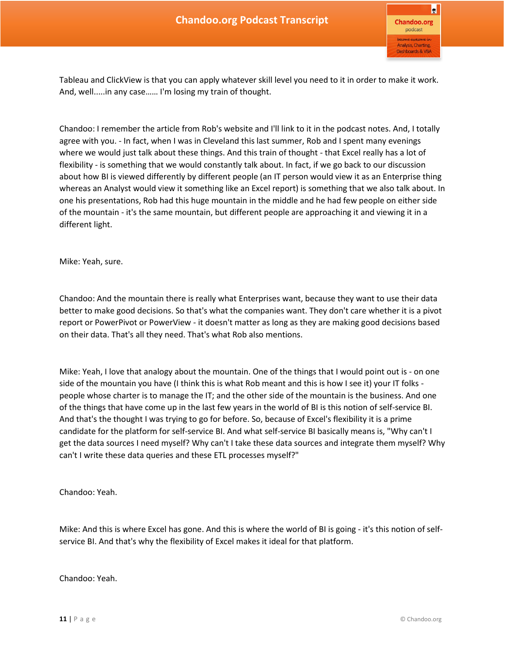

Tableau and ClickView is that you can apply whatever skill level you need to it in order to make it work. And, well.....in any case…… I'm losing my train of thought.

Chandoo: I remember the article from Rob's website and I'll link to it in the podcast notes. And, I totally agree with you. - In fact, when I was in Cleveland this last summer, Rob and I spent many evenings where we would just talk about these things. And this train of thought - that Excel really has a lot of flexibility - is something that we would constantly talk about. In fact, if we go back to our discussion about how BI is viewed differently by different people (an IT person would view it as an Enterprise thing whereas an Analyst would view it something like an Excel report) is something that we also talk about. In one his presentations, Rob had this huge mountain in the middle and he had few people on either side of the mountain - it's the same mountain, but different people are approaching it and viewing it in a different light.

Mike: Yeah, sure.

Chandoo: And the mountain there is really what Enterprises want, because they want to use their data better to make good decisions. So that's what the companies want. They don't care whether it is a pivot report or PowerPivot or PowerView - it doesn't matter as long as they are making good decisions based on their data. That's all they need. That's what Rob also mentions.

Mike: Yeah, I love that analogy about the mountain. One of the things that I would point out is - on one side of the mountain you have (I think this is what Rob meant and this is how I see it) your IT folks people whose charter is to manage the IT; and the other side of the mountain is the business. And one of the things that have come up in the last few years in the world of BI is this notion of self-service BI. And that's the thought I was trying to go for before. So, because of Excel's flexibility it is a prime candidate for the platform for self-service BI. And what self-service BI basically means is, "Why can't I get the data sources I need myself? Why can't I take these data sources and integrate them myself? Why can't I write these data queries and these ETL processes myself?"

Chandoo: Yeah.

Mike: And this is where Excel has gone. And this is where the world of BI is going - it's this notion of selfservice BI. And that's why the flexibility of Excel makes it ideal for that platform.

Chandoo: Yeah.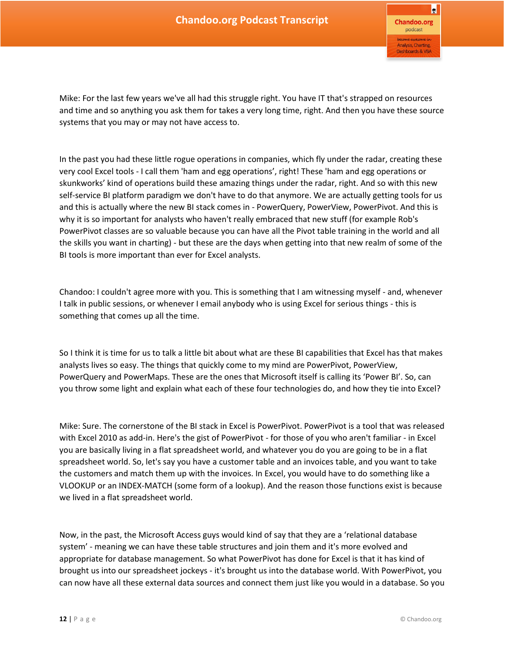Mike: For the last few years we've all had this struggle right. You have IT that's strapped on resources and time and so anything you ask them for takes a very long time, right. And then you have these source systems that you may or may not have access to.

In the past you had these little rogue operations in companies, which fly under the radar, creating these very cool Excel tools - I call them 'ham and egg operations', right! These 'ham and egg operations or skunkworks' kind of operations build these amazing things under the radar, right. And so with this new self-service BI platform paradigm we don't have to do that anymore. We are actually getting tools for us and this is actually where the new BI stack comes in - PowerQuery, PowerView, PowerPivot. And this is why it is so important for analysts who haven't really embraced that new stuff (for example Rob's PowerPivot classes are so valuable because you can have all the Pivot table training in the world and all the skills you want in charting) - but these are the days when getting into that new realm of some of the BI tools is more important than ever for Excel analysts.

Chandoo: I couldn't agree more with you. This is something that I am witnessing myself - and, whenever I talk in public sessions, or whenever I email anybody who is using Excel for serious things - this is something that comes up all the time.

So I think it is time for us to talk a little bit about what are these BI capabilities that Excel has that makes analysts lives so easy. The things that quickly come to my mind are PowerPivot, PowerView, PowerQuery and PowerMaps. These are the ones that Microsoft itself is calling its 'Power BI'. So, can you throw some light and explain what each of these four technologies do, and how they tie into Excel?

Mike: Sure. The cornerstone of the BI stack in Excel is PowerPivot. PowerPivot is a tool that was released with Excel 2010 as add-in. Here's the gist of PowerPivot - for those of you who aren't familiar - in Excel you are basically living in a flat spreadsheet world, and whatever you do you are going to be in a flat spreadsheet world. So, let's say you have a customer table and an invoices table, and you want to take the customers and match them up with the invoices. In Excel, you would have to do something like a VLOOKUP or an INDEX-MATCH (some form of a lookup). And the reason those functions exist is because we lived in a flat spreadsheet world.

Now, in the past, the Microsoft Access guys would kind of say that they are a 'relational database system' - meaning we can have these table structures and join them and it's more evolved and appropriate for database management. So what PowerPivot has done for Excel is that it has kind of brought us into our spreadsheet jockeys - it's brought us into the database world. With PowerPivot, you can now have all these external data sources and connect them just like you would in a database. So you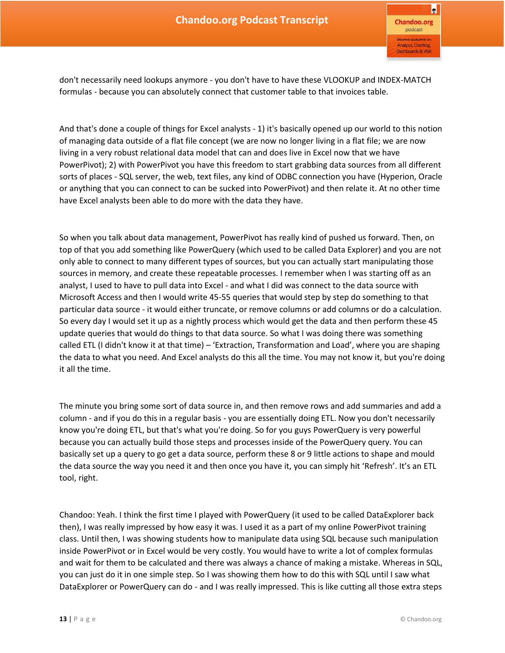don't necessarily need lookups anymore - you don't have to have these VLOOKUP and INDEX-MATCH formulas - because you can absolutely connect that customer table to that invoices table.

And that's done a couple of things for Excel analysts - 1) it's basically opened up our world to this notion of managing data outside of a flat file concept (we are now no longer living in a flat file; we are now living in a very robust relational data model that can and does live in Excel now that we have PowerPivot); 2) with PowerPivot you have this freedom to start grabbing data sources from all different sorts of places - SQL server, the web, text files, any kind of ODBC connection you have (Hyperion, Oracle or anything that you can connect to can be sucked into PowerPivot) and then relate it. At no other time have Excel analysts been able to do more with the data they have.

So when you talk about data management, PowerPivot has really kind of pushed us forward. Then, on top of that you add something like PowerQuery (which used to be called Data Explorer) and you are not only able to connect to many different types of sources, but you can actually start manipulating those sources in memory, and create these repeatable processes. I remember when I was starting off as an analyst, I used to have to pull data into Excel - and what I did was connect to the data source with Microsoft Access and then I would write 45-55 queries that would step by step do something to that particular data source - it would either truncate, or remove columns or add columns or do a calculation. So every day I would set it up as a nightly process which would get the data and then perform these 45 update queries that would do things to that data source. So what I was doing there was something called ETL (I didn't know it at that time) – 'Extraction, Transformation and Load', where you are shaping the data to what you need. And Excel analysts do this all the time. You may not know it, but you're doing it all the time.

The minute you bring some sort of data source in, and then remove rows and add summaries and add a column - and if you do this in a regular basis - you are essentially doing ETL. Now you don't necessarily know you're doing ETL, but that's what you're doing. So for you guys PowerQuery is very powerful because you can actually build those steps and processes inside of the PowerQuery query. You can basically set up a query to go get a data source, perform these 8 or 9 little actions to shape and mould the data source the way you need it and then once you have it, you can simply hit 'Refresh'. It's an ETL tool, right.

Chandoo: Yeah. I think the first time I played with PowerQuery (it used to be called DataExplorer back then), I was really impressed by how easy it was. I used it as a part of my online PowerPivot training class. Until then, I was showing students how to manipulate data using SQL because such manipulation inside PowerPivot or in Excel would be very costly. You would have to write a lot of complex formulas and wait for them to be calculated and there was always a chance of making a mistake. Whereas in SQL, you can just do it in one simple step. So I was showing them how to do this with SQL until I saw what DataExplorer or PowerQuery can do - and I was really impressed. This is like cutting all those extra steps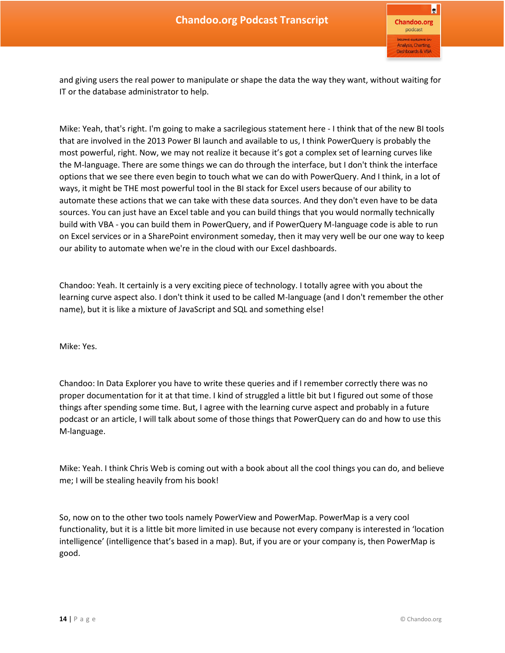and giving users the real power to manipulate or shape the data the way they want, without waiting for IT or the database administrator to help.

Mike: Yeah, that's right. I'm going to make a sacrilegious statement here - I think that of the new BI tools that are involved in the 2013 Power BI launch and available to us, I think PowerQuery is probably the most powerful, right. Now, we may not realize it because it's got a complex set of learning curves like the M-language. There are some things we can do through the interface, but I don't think the interface options that we see there even begin to touch what we can do with PowerQuery. And I think, in a lot of ways, it might be THE most powerful tool in the BI stack for Excel users because of our ability to automate these actions that we can take with these data sources. And they don't even have to be data sources. You can just have an Excel table and you can build things that you would normally technically build with VBA - you can build them in PowerQuery, and if PowerQuery M-language code is able to run on Excel services or in a SharePoint environment someday, then it may very well be our one way to keep our ability to automate when we're in the cloud with our Excel dashboards.

Chandoo: Yeah. It certainly is a very exciting piece of technology. I totally agree with you about the learning curve aspect also. I don't think it used to be called M-language (and I don't remember the other name), but it is like a mixture of JavaScript and SQL and something else!

Mike: Yes.

Chandoo: In Data Explorer you have to write these queries and if I remember correctly there was no proper documentation for it at that time. I kind of struggled a little bit but I figured out some of those things after spending some time. But, I agree with the learning curve aspect and probably in a future podcast or an article, I will talk about some of those things that PowerQuery can do and how to use this M-language.

Mike: Yeah. I think Chris Web is coming out with a book about all the cool things you can do, and believe me; I will be stealing heavily from his book!

So, now on to the other two tools namely PowerView and PowerMap. PowerMap is a very cool functionality, but it is a little bit more limited in use because not every company is interested in 'location intelligence' (intelligence that's based in a map). But, if you are or your company is, then PowerMap is good.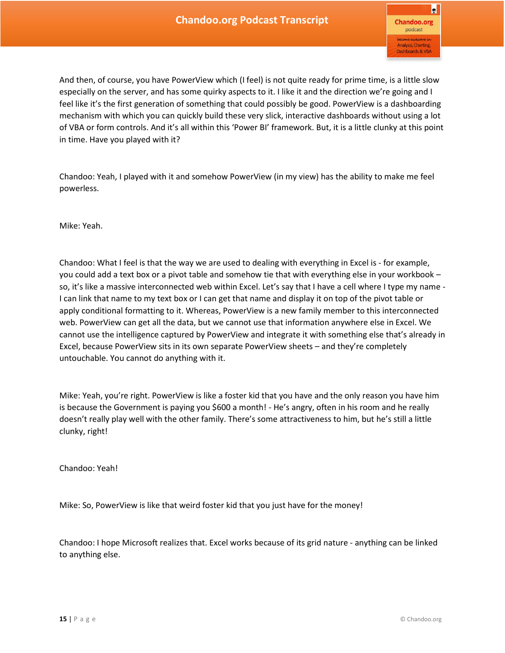And then, of course, you have PowerView which (I feel) is not quite ready for prime time, is a little slow especially on the server, and has some quirky aspects to it. I like it and the direction we're going and I feel like it's the first generation of something that could possibly be good. PowerView is a dashboarding mechanism with which you can quickly build these very slick, interactive dashboards without using a lot of VBA or form controls. And it's all within this 'Power BI' framework. But, it is a little clunky at this point in time. Have you played with it?

Chandoo: Yeah, I played with it and somehow PowerView (in my view) has the ability to make me feel powerless.

Mike: Yeah.

Chandoo: What I feel is that the way we are used to dealing with everything in Excel is - for example, you could add a text box or a pivot table and somehow tie that with everything else in your workbook – so, it's like a massive interconnected web within Excel. Let's say that I have a cell where I type my name - I can link that name to my text box or I can get that name and display it on top of the pivot table or apply conditional formatting to it. Whereas, PowerView is a new family member to this interconnected web. PowerView can get all the data, but we cannot use that information anywhere else in Excel. We cannot use the intelligence captured by PowerView and integrate it with something else that's already in Excel, because PowerView sits in its own separate PowerView sheets – and they're completely untouchable. You cannot do anything with it.

Mike: Yeah, you're right. PowerView is like a foster kid that you have and the only reason you have him is because the Government is paying you \$600 a month! - He's angry, often in his room and he really doesn't really play well with the other family. There's some attractiveness to him, but he's still a little clunky, right!

Chandoo: Yeah!

Mike: So, PowerView is like that weird foster kid that you just have for the money!

Chandoo: I hope Microsoft realizes that. Excel works because of its grid nature - anything can be linked to anything else.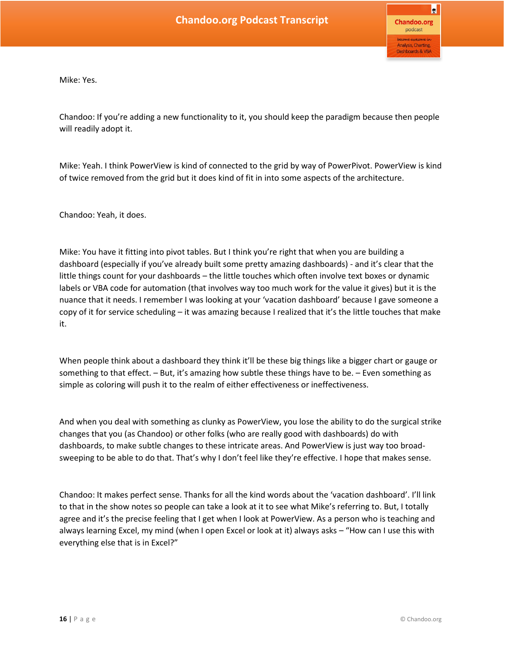Mike: Yes.

Chandoo: If you're adding a new functionality to it, you should keep the paradigm because then people will readily adopt it.

Mike: Yeah. I think PowerView is kind of connected to the grid by way of PowerPivot. PowerView is kind of twice removed from the grid but it does kind of fit in into some aspects of the architecture.

Chandoo: Yeah, it does.

Mike: You have it fitting into pivot tables. But I think you're right that when you are building a dashboard (especially if you've already built some pretty amazing dashboards) - and it's clear that the little things count for your dashboards – the little touches which often involve text boxes or dynamic labels or VBA code for automation (that involves way too much work for the value it gives) but it is the nuance that it needs. I remember I was looking at your 'vacation dashboard' because I gave someone a copy of it for service scheduling – it was amazing because I realized that it's the little touches that make it.

When people think about a dashboard they think it'll be these big things like a bigger chart or gauge or something to that effect. – But, it's amazing how subtle these things have to be. – Even something as simple as coloring will push it to the realm of either effectiveness or ineffectiveness.

And when you deal with something as clunky as PowerView, you lose the ability to do the surgical strike changes that you (as Chandoo) or other folks (who are really good with dashboards) do with dashboards, to make subtle changes to these intricate areas. And PowerView is just way too broadsweeping to be able to do that. That's why I don't feel like they're effective. I hope that makes sense.

Chandoo: It makes perfect sense. Thanks for all the kind words about the 'vacation dashboard'. I'll link to that in the show notes so people can take a look at it to see what Mike's referring to. But, I totally agree and it's the precise feeling that I get when I look at PowerView. As a person who is teaching and always learning Excel, my mind (when I open Excel or look at it) always asks – "How can I use this with everything else that is in Excel?"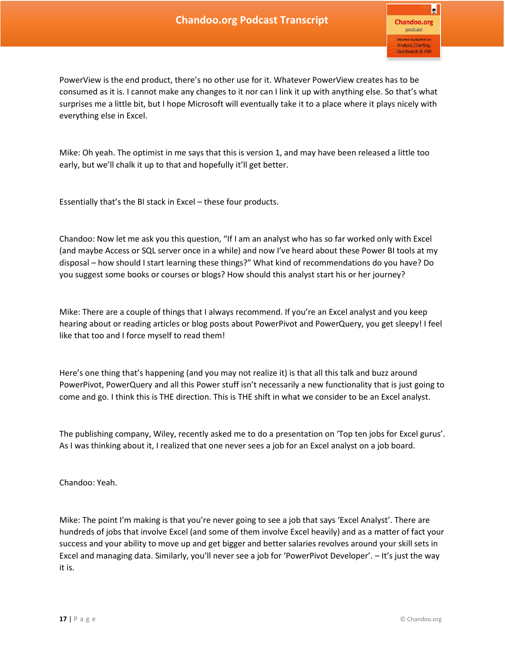PowerView is the end product, there's no other use for it. Whatever PowerView creates has to be consumed as it is. I cannot make any changes to it nor can I link it up with anything else. So that's what surprises me a little bit, but I hope Microsoft will eventually take it to a place where it plays nicely with everything else in Excel.

Mike: Oh yeah. The optimist in me says that this is version 1, and may have been released a little too early, but we'll chalk it up to that and hopefully it'll get better.

Essentially that's the BI stack in Excel – these four products.

Chandoo: Now let me ask you this question, "If I am an analyst who has so far worked only with Excel (and maybe Access or SQL server once in a while) and now I've heard about these Power BI tools at my disposal – how should I start learning these things?" What kind of recommendations do you have? Do you suggest some books or courses or blogs? How should this analyst start his or her journey?

Mike: There are a couple of things that I always recommend. If you're an Excel analyst and you keep hearing about or reading articles or blog posts about PowerPivot and PowerQuery, you get sleepy! I feel like that too and I force myself to read them!

Here's one thing that's happening (and you may not realize it) is that all this talk and buzz around PowerPivot, PowerQuery and all this Power stuff isn't necessarily a new functionality that is just going to come and go. I think this is THE direction. This is THE shift in what we consider to be an Excel analyst.

The publishing company, Wiley, recently asked me to do a presentation on 'Top ten jobs for Excel gurus'. As I was thinking about it, I realized that one never sees a job for an Excel analyst on a job board.

Chandoo: Yeah.

Mike: The point I'm making is that you're never going to see a job that says 'Excel Analyst'. There are hundreds of jobs that involve Excel (and some of them involve Excel heavily) and as a matter of fact your success and your ability to move up and get bigger and better salaries revolves around your skill sets in Excel and managing data. Similarly, you'll never see a job for 'PowerPivot Developer'. – It's just the way it is.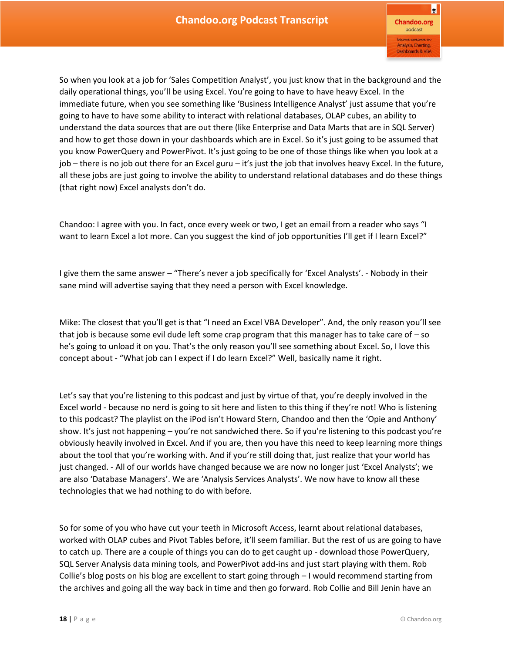So when you look at a job for 'Sales Competition Analyst', you just know that in the background and the daily operational things, you'll be using Excel. You're going to have to have heavy Excel. In the immediate future, when you see something like 'Business Intelligence Analyst' just assume that you're going to have to have some ability to interact with relational databases, OLAP cubes, an ability to understand the data sources that are out there (like Enterprise and Data Marts that are in SQL Server) and how to get those down in your dashboards which are in Excel. So it's just going to be assumed that you know PowerQuery and PowerPivot. It's just going to be one of those things like when you look at a job – there is no job out there for an Excel guru – it's just the job that involves heavy Excel. In the future, all these jobs are just going to involve the ability to understand relational databases and do these things (that right now) Excel analysts don't do.

Chandoo: I agree with you. In fact, once every week or two, I get an email from a reader who says "I want to learn Excel a lot more. Can you suggest the kind of job opportunities I'll get if I learn Excel?"

I give them the same answer – "There's never a job specifically for 'Excel Analysts'. - Nobody in their sane mind will advertise saying that they need a person with Excel knowledge.

Mike: The closest that you'll get is that "I need an Excel VBA Developer". And, the only reason you'll see that job is because some evil dude left some crap program that this manager has to take care of  $-$  so he's going to unload it on you. That's the only reason you'll see something about Excel. So, I love this concept about - "What job can I expect if I do learn Excel?" Well, basically name it right.

Let's say that you're listening to this podcast and just by virtue of that, you're deeply involved in the Excel world - because no nerd is going to sit here and listen to this thing if they're not! Who is listening to this podcast? The playlist on the iPod isn't Howard Stern, Chandoo and then the 'Opie and Anthony' show. It's just not happening – you're not sandwiched there. So if you're listening to this podcast you're obviously heavily involved in Excel. And if you are, then you have this need to keep learning more things about the tool that you're working with. And if you're still doing that, just realize that your world has just changed. - All of our worlds have changed because we are now no longer just 'Excel Analysts'; we are also 'Database Managers'. We are 'Analysis Services Analysts'. We now have to know all these technologies that we had nothing to do with before.

So for some of you who have cut your teeth in Microsoft Access, learnt about relational databases, worked with OLAP cubes and Pivot Tables before, it'll seem familiar. But the rest of us are going to have to catch up. There are a couple of things you can do to get caught up - download those PowerQuery, SQL Server Analysis data mining tools, and PowerPivot add-ins and just start playing with them. Rob Collie's blog posts on his blog are excellent to start going through – I would recommend starting from the archives and going all the way back in time and then go forward. Rob Collie and Bill Jenin have an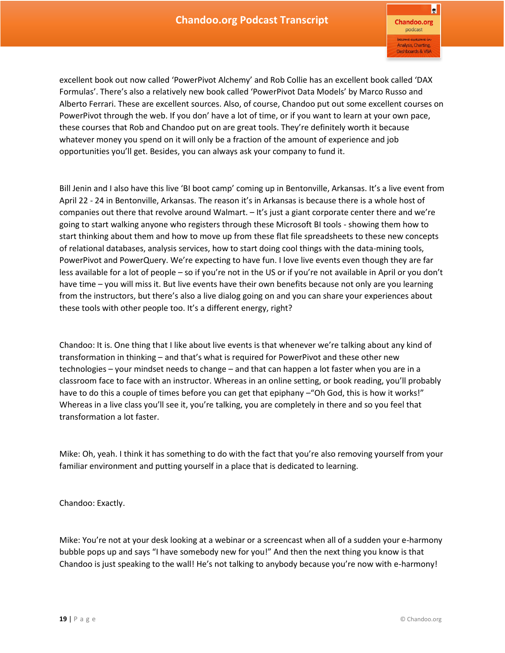R **Chandoo.org** podcast Analysis, Charting, **Dashboards & VBA** 

excellent book out now called 'PowerPivot Alchemy' and Rob Collie has an excellent book called 'DAX Formulas'. There's also a relatively new book called 'PowerPivot Data Models' by Marco Russo and Alberto Ferrari. These are excellent sources. Also, of course, Chandoo put out some excellent courses on PowerPivot through the web. If you don' have a lot of time, or if you want to learn at your own pace, these courses that Rob and Chandoo put on are great tools. They're definitely worth it because whatever money you spend on it will only be a fraction of the amount of experience and job opportunities you'll get. Besides, you can always ask your company to fund it.

Bill Jenin and I also have this live 'BI boot camp' coming up in Bentonville, Arkansas. It's a live event from April 22 - 24 in Bentonville, Arkansas. The reason it's in Arkansas is because there is a whole host of companies out there that revolve around Walmart. – It's just a giant corporate center there and we're going to start walking anyone who registers through these Microsoft BI tools - showing them how to start thinking about them and how to move up from these flat file spreadsheets to these new concepts of relational databases, analysis services, how to start doing cool things with the data-mining tools, PowerPivot and PowerQuery. We're expecting to have fun. I love live events even though they are far less available for a lot of people – so if you're not in the US or if you're not available in April or you don't have time – you will miss it. But live events have their own benefits because not only are you learning from the instructors, but there's also a live dialog going on and you can share your experiences about these tools with other people too. It's a different energy, right?

Chandoo: It is. One thing that I like about live events is that whenever we're talking about any kind of transformation in thinking – and that's what is required for PowerPivot and these other new technologies – your mindset needs to change – and that can happen a lot faster when you are in a classroom face to face with an instructor. Whereas in an online setting, or book reading, you'll probably have to do this a couple of times before you can get that epiphany – "Oh God, this is how it works!" Whereas in a live class you'll see it, you're talking, you are completely in there and so you feel that transformation a lot faster.

Mike: Oh, yeah. I think it has something to do with the fact that you're also removing yourself from your familiar environment and putting yourself in a place that is dedicated to learning.

Chandoo: Exactly.

Mike: You're not at your desk looking at a webinar or a screencast when all of a sudden your e-harmony bubble pops up and says "I have somebody new for you!" And then the next thing you know is that Chandoo is just speaking to the wall! He's not talking to anybody because you're now with e-harmony!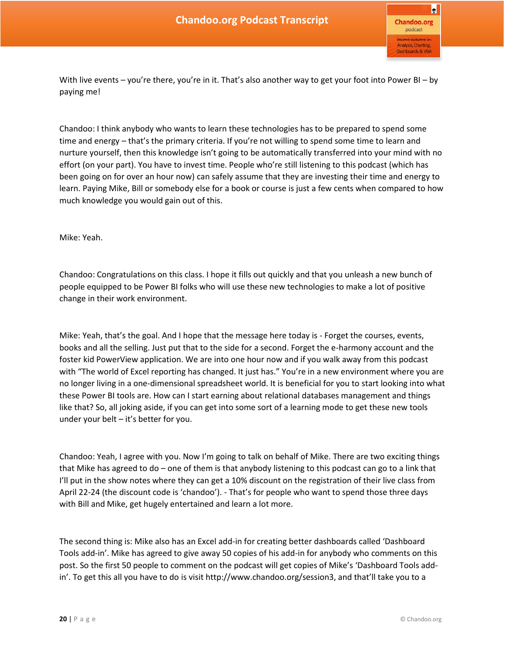With live events – you're there, you're in it. That's also another way to get your foot into Power BI – by paying me!

Chandoo: I think anybody who wants to learn these technologies has to be prepared to spend some time and energy – that's the primary criteria. If you're not willing to spend some time to learn and nurture yourself, then this knowledge isn't going to be automatically transferred into your mind with no effort (on your part). You have to invest time. People who're still listening to this podcast (which has been going on for over an hour now) can safely assume that they are investing their time and energy to learn. Paying Mike, Bill or somebody else for a book or course is just a few cents when compared to how much knowledge you would gain out of this.

## Mike: Yeah.

Chandoo: Congratulations on this class. I hope it fills out quickly and that you unleash a new bunch of people equipped to be Power BI folks who will use these new technologies to make a lot of positive change in their work environment.

Mike: Yeah, that's the goal. And I hope that the message here today is - Forget the courses, events, books and all the selling. Just put that to the side for a second. Forget the e-harmony account and the foster kid PowerView application. We are into one hour now and if you walk away from this podcast with "The world of Excel reporting has changed. It just has." You're in a new environment where you are no longer living in a one-dimensional spreadsheet world. It is beneficial for you to start looking into what these Power BI tools are. How can I start earning about relational databases management and things like that? So, all joking aside, if you can get into some sort of a learning mode to get these new tools under your belt – it's better for you.

Chandoo: Yeah, I agree with you. Now I'm going to talk on behalf of Mike. There are two exciting things that Mike has agreed to do – one of them is that anybody listening to this podcast can go to a link that I'll put in the show notes where they can get a 10% discount on the registration of their live class from April 22-24 (the discount code is 'chandoo'). - That's for people who want to spend those three days with Bill and Mike, get hugely entertained and learn a lot more.

The second thing is: Mike also has an Excel add-in for creating better dashboards called 'Dashboard Tools add-in'. Mike has agreed to give away 50 copies of his add-in for anybody who comments on this post. So the first 50 people to comment on the podcast will get copies of Mike's 'Dashboard Tools addin'. To get this all you have to do is visit http://www.chandoo.org/session3, and that'll take you to a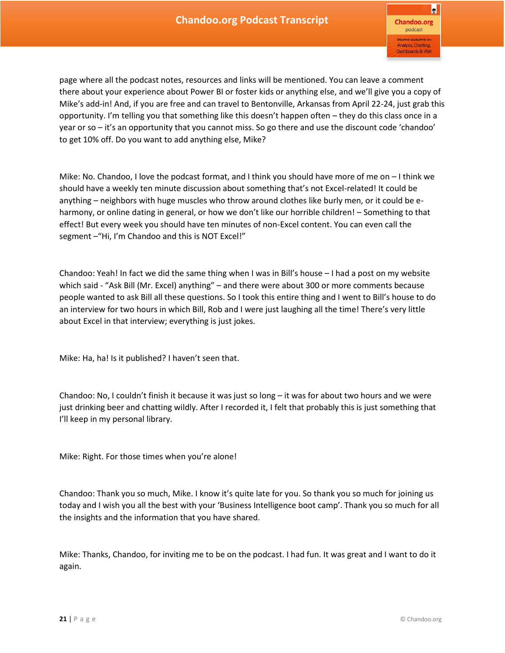page where all the podcast notes, resources and links will be mentioned. You can leave a comment there about your experience about Power BI or foster kids or anything else, and we'll give you a copy of Mike's add-in! And, if you are free and can travel to Bentonville, Arkansas from April 22-24, just grab this opportunity. I'm telling you that something like this doesn't happen often – they do this class once in a year or so – it's an opportunity that you cannot miss. So go there and use the discount code 'chandoo' to get 10% off. Do you want to add anything else, Mike?

Mike: No. Chandoo, I love the podcast format, and I think you should have more of me on – I think we should have a weekly ten minute discussion about something that's not Excel-related! It could be anything – neighbors with huge muscles who throw around clothes like burly men, or it could be eharmony, or online dating in general, or how we don't like our horrible children! – Something to that effect! But every week you should have ten minutes of non-Excel content. You can even call the segment –"Hi, I'm Chandoo and this is NOT Excel!"

Chandoo: Yeah! In fact we did the same thing when I was in Bill's house – I had a post on my website which said - "Ask Bill (Mr. Excel) anything" – and there were about 300 or more comments because people wanted to ask Bill all these questions. So I took this entire thing and I went to Bill's house to do an interview for two hours in which Bill, Rob and I were just laughing all the time! There's very little about Excel in that interview; everything is just jokes.

Mike: Ha, ha! Is it published? I haven't seen that.

Chandoo: No, I couldn't finish it because it was just so long – it was for about two hours and we were just drinking beer and chatting wildly. After I recorded it, I felt that probably this is just something that I'll keep in my personal library.

Mike: Right. For those times when you're alone!

Chandoo: Thank you so much, Mike. I know it's quite late for you. So thank you so much for joining us today and I wish you all the best with your 'Business Intelligence boot camp'. Thank you so much for all the insights and the information that you have shared.

Mike: Thanks, Chandoo, for inviting me to be on the podcast. I had fun. It was great and I want to do it again.